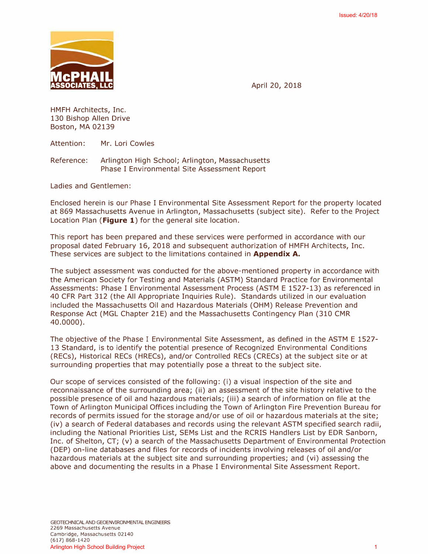

April 20, 2018

HMFH Architects, Inc. 130 Bishop Allen Drive Boston, MA 02139

Attention: Mr. Lori Cowles

Reference: Arlington High School; Arlington, Massachusetts Phase I Environmental Site Assessment Report

Ladies and Gentlemen:

Enclosed herein is our Phase I Environmental Site Assessment Report for the property located at 869 Massachusetts Avenue in Arlington, Massachusetts (subject site). Refer to the Project Location Plan **(Figure 1)** for the general site location.

This report has been prepared and these services were performed in accordance with our proposal dated February 16, 2018 and subsequent authorization of HMFH Architects, Inc. These services are subject to the limitations contained in **Appendix A.** 

The subject assessment was conducted for the above-mentioned property in accordance with the American Society for Testing and Materials (ASTM) Standard Practice for Environmental Assessments: Phase I Environmental Assessment Process (ASTM E 1527-13) as referenced in 40 CFR Part 312 (the All Appropriate Inquiries Rule). Standards utilized in our evaluation included the Massachusetts Oil and Hazardous Materials (OHM) Release Prevention and Response Act (MGL Chapter 21E) and the Massachusetts Contingency Plan (310 CMR 40.0000).

The objective of the Phase I Environmental Site Assessment, as defined in the ASTM E 1527- 13 Standard, is to identify the potential presence of Recognized Environmental Conditions (RECs), Historical RECs (HRECs), and/or Controlled RECs (CRECs) at the subject site or at surrounding properties that may potentially pose a threat to the subject site.

Our scope of services consisted of the following: (i) a visual inspection of the site and reconnaissance of the surrounding area; (ii) an assessment of the site history relative to the possible presence of oil and hazardous materials; (iii) a search of information on file at the Town of Arlington Municipal Offices including the Town of Arlington Fire Prevention Bureau for records of permits issued for the storage and/or use of oil or hazardous materials at the site; (iv) a search of Federal databases and records using the relevant ASTM specified search radii, including the National Priorities List, SEMs List and the RCRIS Handlers List by EDR Sanborn, Inc. of Shelton, CT; (v) a search of the Massachusetts Department of Environmental Protection (DEP) on-line databases and files for records of incidents involving releases of oil and/or hazardous materials at the subject site and surrounding properties; and (vi) assessing the above and documenting the results in a Phase I Environmental Site Assessment Report. Hence Your High School Arlines (40, 2018)<br>
IMCPHANILE HARRIST Inc. (40, 2018)<br>
April 20, 2018<br>
1350 Bishop Allen Drive<br>
Instanting The Company Arlington High School; Arlington, Massachusetts<br>
Inc. 20, 2019<br>
Artistics: Arri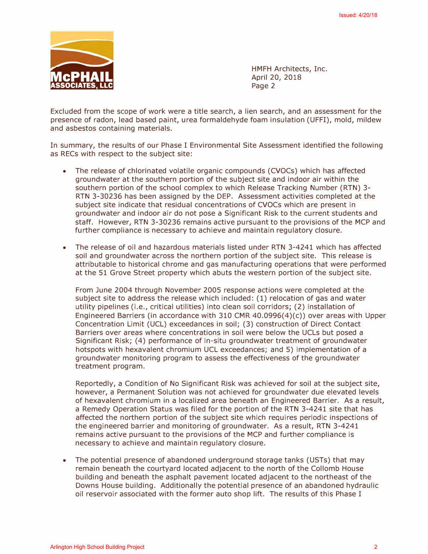

HMFH Architects, Inc. **April 20, 2018**  Page 2

Excluded from the scope of work were a title search, a lien search, and an assessment for the presence of radon, lead based paint, urea formaldehyde foam insulation (UFFI), mold, mildew and asbestos containing materials.

In summary, the results of our Phase I Environmental Site Assessment identified the following as RECs with respect to the subject site:

- The release of chlorinated volatile organic compounds (CVOCs) which has affected groundwater at the southern portion of the subject site and indoor air within the southern portion of the school complex to which Release Tracking Number (RTN) 3- RTN 3-30236 has been assigned by the DEP. Assessment activities completed at the subject site indicate that residual concentrations of CVOCs which are present in groundwater and indoor air do not pose a Significant Risk to the current students and staff. However, RTN 3-30236 remains active pursuant to the provisions of the MCP and further compliance is necessary to achieve and maintain regulatory closure.
- The release of oil and hazardous materials listed under RTN 3-4241 which has affected soil and groundwater across the northern portion of the subject site. This release is attributable to historical chrome and gas manufacturing operations that were performed at the 51 Grove Street property which abuts the western portion of the subject site.

From June 2004 through November 2005 response actions were completed at the subject site to address the release which included: (1) relocation of gas and water utility pipelines (i.e., critical utilities) into clean soil corridors; (2) installation of Engineered Barriers (in accordance with 310 CMR 40.0996(4)(c)) over areas with Upper Concentration Limit (UCL) exceedances in soil; (3) construction of Direct Contact Barriers over areas where concentrations in soil were below the UCLs but posed a Significant Risk; ( 4) performance of in-situ groundwater treatment of groundwater hotspots with hexavalent chromium UCL exceedances; and 5) implementation of a groundwater monitoring program to assess the effectiveness of the groundwater treatment program. ISSUE 12<br>
IMPHY Ancientes, and<br>
149914 Architects, and<br>
149914 Architects, and<br>
149914 Architects, and<br>
14992 2<br>
20018 2<br>
14992 2<br>
14992 2<br>
14992 2<br>
14992 2<br>
14992 2<br>
In statistical Islam assessment for this comparison of

Reportedly, a Condition of No Significant Risk was achieved for soil at the subject site, however, a Permanent Solution was not achieved for groundwater due elevated levels of hexavalent chromium in a localized area beneath an Engineered Barrier. As a result, a Remedy Operation Status was filed for the portion of the RTN 3-4241 site that has affected the northern portion of the subject site which requires periodic inspections of the engineered barrier and monitoring of groundwater. As a result, RTN 3-4241 remains active pursuant to the provisions of the MCP and further compliance is necessary to achieve and maintain regulatory closure.

• The potential presence of abandoned underground storage tanks (USTs) that may remain beneath the courtyard located adjacent to the north of the Collomb House building and beneath the asphalt pavement located adjacent to the northeast of the Downs House building. Additionally the potential presence of an abandoned hydraulic oil reservoir associated with the former auto shop lift. The results of this Phase I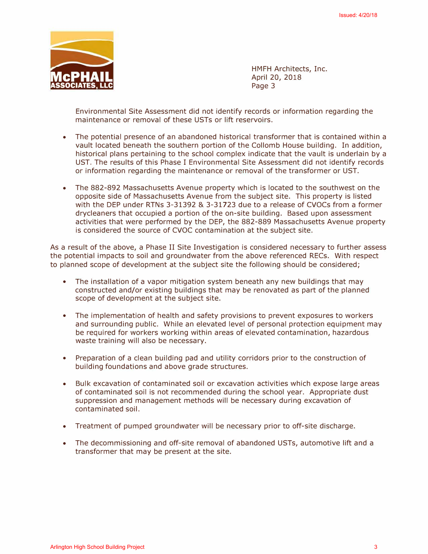

HMFH Architects, Inc. April 20, 2018 Page 3

Environmental Site Assessment did not identify records or information regarding the maintenance or removal of these USTs or lift reservoirs.

- The potential presence of an abandoned historical transformer that is contained within a vault located beneath the southern portion of the Collomb House building. In addition, historical plans pertaining to the school complex indicate that the vault is underlain by a UST. The results of this Phase I Environmental Site Assessment did not identify records or information regarding the maintenance or removal of the transformer or UST.
- The 882-892 Massachusetts Avenue property which is located to the southwest on the opposite side of Massachusetts Avenue from the subject site. This property is listed with the DEP under RTNs 3-31392 & 3-31723 due to a release of CVOCs from a former drycleaners that occupied a portion of the on-site building. Based upon assessment activities that were performed by the DEP, the 882-889 Massachusetts Avenue property is considered the source of CVOC contamination at the subject site. Henric words<br>
IMPIN Accidents, Inc.<br>
1998 3<br>
ISSUE Experimental Stir Accidents and 20, 2018<br>
Forecast and the stress content of the stress content of the stress of the<br>
maintenance or remuned of these USTs or influences or

As a result of the above, a Phase II Site Investigation is considered necessary to further assess the potential impacts to soil and groundwater from the above referenced RECs. With respect to planned scope of development at the subject site the following should be considered;

- The installation of a vapor mitigation system beneath any new buildings that may constructed and/or existing buildings that may be renovated as part of the planned scope of development at the subject site.
- The implementation of health and safety provisions to prevent exposures to workers and surrounding public. While an elevated level of personal protection equipment may be required for workers working within areas of elevated contamination, hazardous waste training will also be necessary.
- Preparation of a clean building pad and utility corridors prior to the construction of building foundations and above grade structures.
- Bulk excavation of contaminated soil or excavation activities which expose large areas of contaminated soil is not recommended during the school year. Appropriate dust suppression and management methods will be necessary during excavation of contaminated soil.
- Treatment of pumped groundwater will be necessary prior to off-site discharge.
- The decommissioning and off-site removal of abandoned USTs, automotive lift and a transformer that may be present at the site.